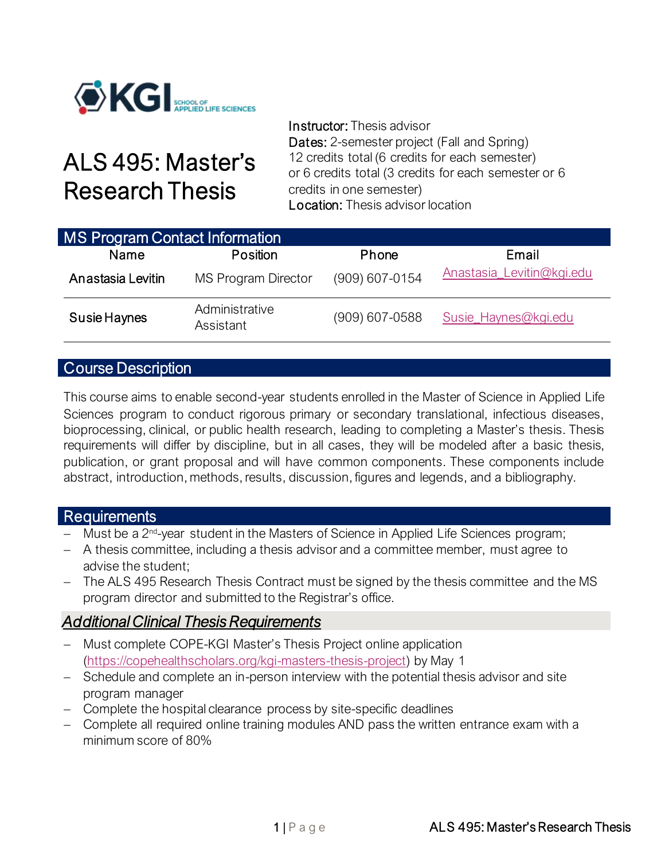

# ALS 495: Master's Research Thesis

Instructor: Thesis advisor Dates: 2-semester project (Fall and Spring) 12 credits total (6 credits for each semester) or 6 credits total (3 credits for each semester or 6 credits in one semester) Location: Thesis advisor location

| <b>MS Program Contact Information</b> |                             |                |                           |
|---------------------------------------|-----------------------------|----------------|---------------------------|
| Name                                  | Position                    | Phone          | Email                     |
| Anastasia Levitin                     | <b>MS Program Director</b>  | (909) 607-0154 | Anastasia_Levitin@kgi.edu |
| Susie Haynes                          | Administrative<br>Assistant | (909) 607-0588 | Susie_Haynes@kgi.edu      |

### Course Description

This course aims to enable second-year students enrolled in the Master of Science in Applied Life Sciences program to conduct rigorous primary or secondary translational, infectious diseases, bioprocessing, clinical, or public health research, leading to completing a Master's thesis. Thesis requirements will differ by discipline, but in all cases, they will be modeled after a basic thesis, publication, or grant proposal and will have common components. These components include abstract, introduction, methods, results, discussion, figures and legends, and a bibliography.

### Requirements

- − Must be a 2nd -year student in the Masters of Science in Applied Life Sciences program;
- − A thesis committee, including a thesis advisor and a committee member, must agree to advise the student;
- − The ALS 495 Research Thesis Contract must be signed by the thesis committee and the MS program director and submitted to the Registrar's office.

### *Additional Clinical Thesis Requirements*

- − Must complete COPE-KGI Master's Thesis Project online application [\(https://copehealthscholars.org/kgi-masters-thesis-project\)](https://copehealthscholars.org/kgi-masters-thesis-project) by May 1
- − Schedule and complete an in-person interview with the potential thesis advisor and site program manager
- − Complete the hospital clearance process by site-specific deadlines
- − Complete all required online training modules AND pass the written entrance exam with a minimum score of 80%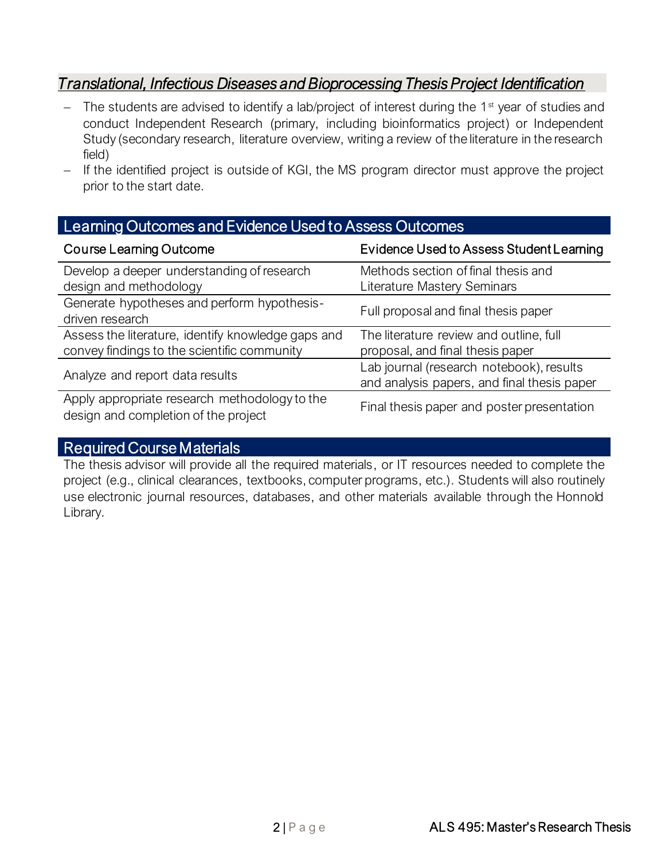# *Translational, Infectious Diseases and Bioprocessing Thesis Project Identification*

- − The students are advised to identify a lab/project of interest during the 1<sup>st</sup> year of studies and conduct Independent Research (primary, including bioinformatics project) or Independent Study (secondary research, literature overview, writing a review of the literature in the research field)
- − If the identified project is outside of KGI, the MS program director must approve the project prior to the start date.

| Learning Outcomes and Evidence Used to Assess Outcomes                                            |                                                                                         |  |  |  |  |  |
|---------------------------------------------------------------------------------------------------|-----------------------------------------------------------------------------------------|--|--|--|--|--|
| <b>Course Learning Outcome</b>                                                                    | Evidence Used to Assess Student Learning                                                |  |  |  |  |  |
| Develop a deeper understanding of research<br>design and methodology                              | Methods section of final thesis and<br>Literature Mastery Seminars                      |  |  |  |  |  |
| Generate hypotheses and perform hypothesis-<br>driven research                                    | Full proposal and final thesis paper                                                    |  |  |  |  |  |
| Assess the literature, identify knowledge gaps and<br>convey findings to the scientific community | The literature review and outline, full<br>proposal, and final thesis paper             |  |  |  |  |  |
| Analyze and report data results                                                                   | Lab journal (research notebook), results<br>and analysis papers, and final thesis paper |  |  |  |  |  |
| Apply appropriate research methodology to the<br>design and completion of the project             | Final thesis paper and poster presentation                                              |  |  |  |  |  |

# Required Course Materials

The thesis advisor will provide all the required materials, or IT resources needed to complete the project (e.g., clinical clearances, textbooks, computer programs, etc.). Students will also routinely use electronic journal resources, databases, and other materials available through the Honnold Library.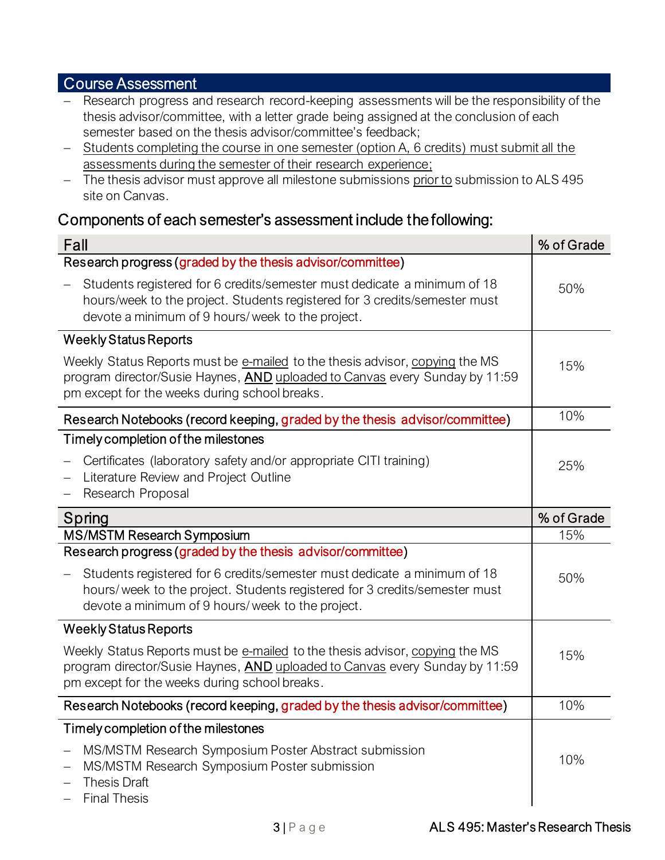### Course Assessment

- − Research progress and research record-keeping assessments will be the responsibility of the thesis advisor/committee, with a letter grade being assigned at the conclusion of each semester based on the thesis advisor/committee's feedback;
- − Students completing the course in one semester (option A, 6 credits) must submit all the assessments during the semester of their research experience;
- − The thesis advisor must approve all milestone submissions prior to submission to ALS 495 site on Canvas.

### Components of each semester's assessment include the following:

| Fall                                                                                                                                                                                                         | % of Grade |
|--------------------------------------------------------------------------------------------------------------------------------------------------------------------------------------------------------------|------------|
| Research progress (graded by the thesis advisor/committee)                                                                                                                                                   |            |
| Students registered for 6 credits/semester must dedicate a minimum of 18<br>hours/week to the project. Students registered for 3 credits/semester must<br>devote a minimum of 9 hours/ week to the project.  | 50%        |
| <b>Weekly Status Reports</b>                                                                                                                                                                                 |            |
| Weekly Status Reports must be e-mailed to the thesis advisor, copying the MS<br>program director/Susie Haynes, AND uploaded to Canvas every Sunday by 11:59<br>pm except for the weeks during school breaks. | 15%        |
| Research Notebooks (record keeping, graded by the thesis advisor/committee)                                                                                                                                  | 10%        |
| Timely completion of the milestones                                                                                                                                                                          |            |
| Certificates (laboratory safety and/or appropriate CITI training)<br>Literature Review and Project Outline<br>Research Proposal                                                                              | 25%        |
| Spring                                                                                                                                                                                                       | % of Grade |
| MS/MSTM Research Symposium                                                                                                                                                                                   | 15%        |
| Research progress (graded by the thesis advisor/committee)                                                                                                                                                   |            |
| Students registered for 6 credits/semester must dedicate a minimum of 18<br>hours/ week to the project. Students registered for 3 credits/semester must<br>devote a minimum of 9 hours/ week to the project. | 50%        |
| <b>Weekly Status Reports</b>                                                                                                                                                                                 |            |
| Weekly Status Reports must be e-mailed to the thesis advisor, copying the MS<br>program director/Susie Haynes, AND uploaded to Canvas every Sunday by 11:59<br>pm except for the weeks during school breaks. | 15%        |
| Research Notebooks (record keeping, graded by the thesis advisor/committee)                                                                                                                                  | 10%        |
| Timely completion of the milestones                                                                                                                                                                          |            |
| MS/MSTM Research Symposium Poster Abstract submission<br>MS/MSTM Research Symposium Poster submission<br><b>Thesis Draft</b><br><b>Final Thesis</b>                                                          | 10%        |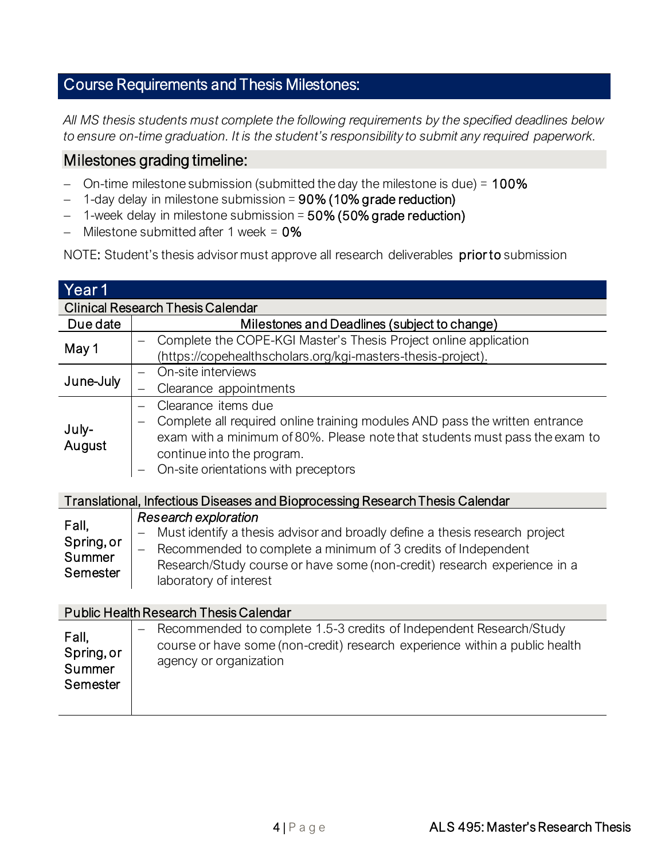# Course Requirements and Thesis Milestones:

*All MS thesis students must complete the following requirements by the specified deadlines below to ensure on-time graduation. It is the student's responsibility to submit any required paperwork.*

### Milestones grading timeline:

- − On-time milestone submission (submitted the day the milestone is due) = 100%
- − 1-day delay in milestone submission = 90% (10% grade reduction)
- − 1-week delay in milestone submission = 50% (50% grade reduction)
- − Milestone submitted after 1 week = 0%

NOTE: Student's thesis advisor must approve all research deliverables prior to submission

| Year 1     |                                                                                                    |
|------------|----------------------------------------------------------------------------------------------------|
|            | <b>Clinical Research Thesis Calendar</b>                                                           |
| Due date   | Milestones and Deadlines (subject to change)                                                       |
| May 1      | Complete the COPE-KGI Master's Thesis Project online application                                   |
|            | (https://copehealthscholars.org/kgi-masters-thesis-project).                                       |
| June-July  | On-site interviews                                                                                 |
|            | Clearance appointments                                                                             |
|            | Clearance items due<br>$\equiv$                                                                    |
| July-      | Complete all required online training modules AND pass the written entrance                        |
| August     | exam with a minimum of 80%. Please note that students must pass the exam to                        |
|            | continue into the program.                                                                         |
|            | On-site orientations with preceptors                                                               |
|            |                                                                                                    |
|            | Translational, Infectious Diseases and Bioprocessing Research Thesis Calendar                      |
| Fall,      | <b>Research exploration</b>                                                                        |
| Spring, or | Must identify a thesis advisor and broadly define a thesis research project                        |
| Summer     | Recommended to complete a minimum of 3 credits of Independent                                      |
| Semester   | Research/Study course or have some (non-credit) research experience in a<br>laboratory of interest |
|            |                                                                                                    |
|            | <b>Public Health Research Thesis Calendar</b>                                                      |
|            | Recommended to complete 1.5-3 credits of Independent Research/Study                                |
| Fall,      | course or have some (non-credit) research experience within a public health                        |
| Spring, or | agency or organization                                                                             |
| Summer     |                                                                                                    |
| Semester   |                                                                                                    |
|            |                                                                                                    |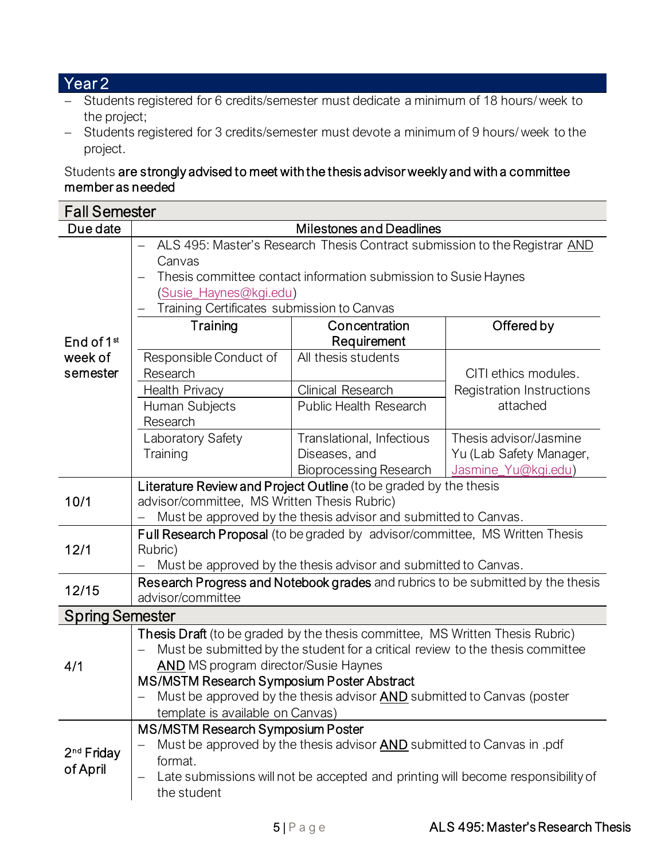# Year 2

- − Students registered for 6 credits/semester must dedicate a minimum of 18 hours/ week to the project;
- − Students registered for 3 credits/semester must devote a minimum of 9 hours/ week to the project.

### Students are strongly advised to meet with the thesis advisor weekly and with a committee member as needed

| <b>Fall Semester</b>               |                                                                                                                                                                                                                |                                                                                                                                                          |                                                                                  |  |  |
|------------------------------------|----------------------------------------------------------------------------------------------------------------------------------------------------------------------------------------------------------------|----------------------------------------------------------------------------------------------------------------------------------------------------------|----------------------------------------------------------------------------------|--|--|
| Due date                           |                                                                                                                                                                                                                | <b>Milestones and Deadlines</b>                                                                                                                          |                                                                                  |  |  |
|                                    | Canvas<br>(Susie_Haynes@kgi.edu)<br>Training Certificates submission to Canvas                                                                                                                                 | ALS 495: Master's Research Thesis Contract submission to the Registrar AND<br>Thesis committee contact information submission to Susie Haynes            |                                                                                  |  |  |
| End of $1st$                       | Training                                                                                                                                                                                                       | Concentration<br>Requirement                                                                                                                             | Offered by                                                                       |  |  |
| week of<br>semester                | Responsible Conduct of<br>Research                                                                                                                                                                             | All thesis students                                                                                                                                      | CITI ethics modules.                                                             |  |  |
|                                    | Health Privacy<br>Human Subjects<br>Research                                                                                                                                                                   | <b>Clinical Research</b><br><b>Public Health Research</b>                                                                                                | <b>Registration Instructions</b><br>attached                                     |  |  |
|                                    | Laboratory Safety<br>Training                                                                                                                                                                                  | Translational, Infectious<br>Diseases, and<br><b>Bioprocessing Research</b>                                                                              | Thesis advisor/Jasmine<br>Yu (Lab Safety Manager,<br>Jasmine_Yu@kgi.edu)         |  |  |
| 10/1                               | Literature Review and Project Outline (to be graded by the thesis<br>advisor/committee, MS Written Thesis Rubric)<br>Must be approved by the thesis advisor and submitted to Canvas.                           |                                                                                                                                                          |                                                                                  |  |  |
| 12/1                               | <b>Full Research Proposal</b> (to be graded by advisor/committee, MS Written Thesis<br>Rubric)<br>Must be approved by the thesis advisor and submitted to Canvas.                                              |                                                                                                                                                          |                                                                                  |  |  |
| 12/15                              | advisor/committee                                                                                                                                                                                              |                                                                                                                                                          | Research Progress and Notebook grades and rubrics to be submitted by the thesis  |  |  |
| <b>Spring Semester</b>             |                                                                                                                                                                                                                |                                                                                                                                                          |                                                                                  |  |  |
| 4/1                                | Thesis Draft (to be graded by the thesis committee, MS Written Thesis Rubric)<br><b>AND</b> MS program director/Susie Haynes<br>MS/MSTM Research Symposium Poster Abstract<br>template is available on Canvas) | Must be submitted by the student for a critical review to the thesis committee<br>Must be approved by the thesis advisor AND submitted to Canvas (poster |                                                                                  |  |  |
| 2 <sup>nd</sup> Friday<br>of April | <b>MS/MSTM Research Symposium Poster</b><br>format.<br>the student                                                                                                                                             | Must be approved by the thesis advisor AND submitted to Canvas in pdf                                                                                    | Late submissions will not be accepted and printing will become responsibility of |  |  |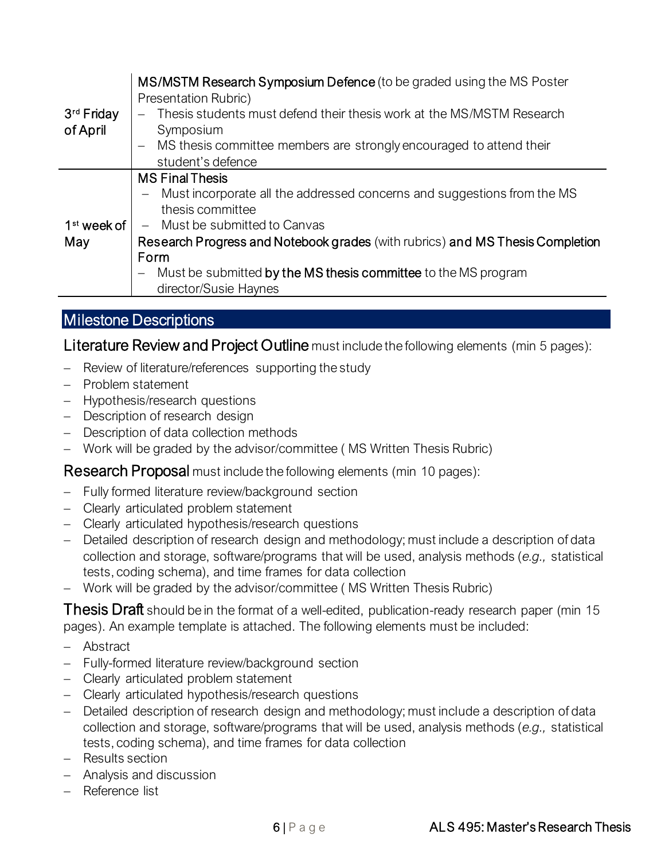|                         | MS/MSTM Research Symposium Defence (to be graded using the MS Poster                         |
|-------------------------|----------------------------------------------------------------------------------------------|
|                         | Presentation Rubric)                                                                         |
| 3 <sup>rd</sup> Friday  | Thesis students must defend their thesis work at the MS/MSTM Research                        |
| of April                | Symposium                                                                                    |
|                         | MS thesis committee members are strongly encouraged to attend their                          |
|                         | student's defence                                                                            |
|                         | <b>MS Final Thesis</b>                                                                       |
|                         | Must incorporate all the addressed concerns and suggestions from the MS<br>$\qquad \qquad -$ |
|                         | thesis committee                                                                             |
| 1 <sup>st</sup> week of | Must be submitted to Canvas<br>$ \,$                                                         |
| May                     | Research Progress and Notebook grades (with rubrics) and MS Thesis Completion                |
|                         | Form                                                                                         |
|                         | Must be submitted by the MS thesis committee to the MS program                               |
|                         | director/Susie Haynes                                                                        |

### Milestone Descriptions

Literature Review and Project Outline must include the following elements (min 5 pages):

- − Review of literature/references supporting the study
- − Problem statement
- − Hypothesis/research questions
- − Description of research design
- − Description of data collection methods
- − Work will be graded by the advisor/committee ( MS Written Thesis Rubric)

Research Proposalmust include the following elements (min 10 pages):

- − Fully formed literature review/background section
- − Clearly articulated problem statement
- − Clearly articulated hypothesis/research questions
- − Detailed description of research design and methodology; must include a description of data collection and storage, software/programs that will be used, analysis methods (*e.g.,* statistical tests, coding schema), and time frames for data collection
- − Work will be graded by the advisor/committee ( MS Written Thesis Rubric)

Thesis Draft should be in the format of a well-edited, publication-ready research paper (min 15 pages). An example template is attached. The following elements must be included:

- − Abstract
- − Fully-formed literature review/background section
- − Clearly articulated problem statement
- − Clearly articulated hypothesis/research questions
- − Detailed description of research design and methodology; must include a description of data collection and storage, software/programs that will be used, analysis methods (*e.g.,* statistical tests, coding schema), and time frames for data collection
- − Results section
- − Analysis and discussion
- − Reference list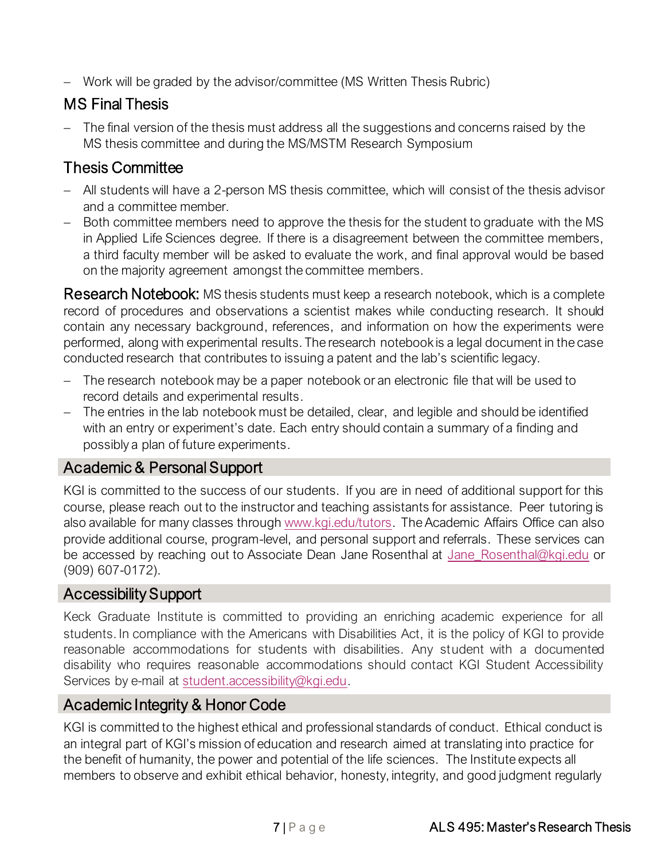− Work will be graded by the advisor/committee (MS Written Thesis Rubric)

# MS Final Thesis

− The final version of the thesis must address all the suggestions and concerns raised by the MS thesis committee and during the MS/MSTM Research Symposium

# Thesis Committee

- − All students will have a 2-person MS thesis committee, which will consist of the thesis advisor and a committee member.
- − Both committee members need to approve the thesis for the student to graduate with the MS in Applied Life Sciences degree. If there is a disagreement between the committee members, a third faculty member will be asked to evaluate the work, and final approval would be based on the majority agreement amongst the committee members.

**Research Notebook:** MS thesis students must keep a research notebook, which is a complete record of procedures and observations a scientist makes while conducting research. It should contain any necessary background, references, and information on how the experiments were performed, along with experimental results. The research notebook is a legal document in the case conducted research that contributes to issuing a patent and the lab's scientific legacy.

- − The research notebook may be a paper notebook or an electronic file that will be used to record details and experimental results.
- − The entries in the lab notebook must be detailed, clear, and legible and should be identified with an entry or experiment's date. Each entry should contain a summary of a finding and possibly a plan of future experiments.

# Academic & Personal Support

KGI is committed to the success of our students. If you are in need of additional support for this course, please reach out to the instructor and teaching assistants for assistance. Peer tutoring is also available for many classes throug[h www.kgi.edu/tutors.](http://www.kgi.edu/tutors) The Academic Affairs Office can also provide additional course, program-level, and personal support and referrals. These services can be accessed by reaching out to Associate Dean Jane Rosenthal at [Jane\\_Rosenthal@kgi.edu](mailto:Jane_Rosenthal@kgi.edu) or (909) 607-0172).

### Accessibility Support

Keck Graduate Institute is committed to providing an enriching academic experience for all students. In compliance with the Americans with Disabilities Act, it is the policy of KGI to provide reasonable accommodations for students with disabilities. Any student with a documented disability who requires reasonable accommodations should contact KGI Student Accessibility Services by e-mail at [student.accessibility@kgi.edu.](mailto:student.accessibility@kgi.edu)

# Academic Integrity & Honor Code

KGI is committed to the highest ethical and professional standards of conduct. Ethical conduct is an integral part of KGI's mission of education and research aimed at translating into practice for the benefit of humanity, the power and potential of the life sciences. The Institute expects all members to observe and exhibit ethical behavior, honesty, integrity, and good judgment regularly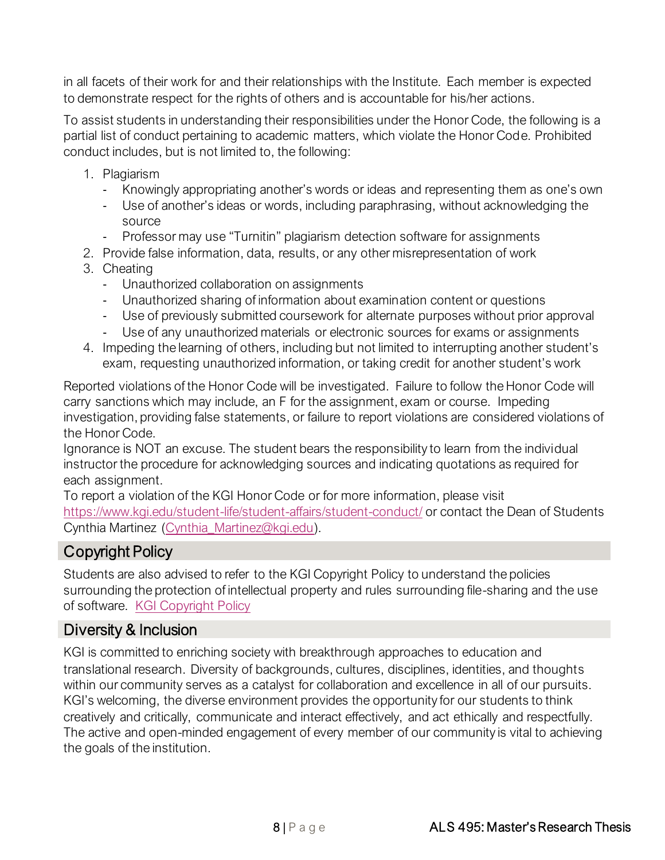in all facets of their work for and their relationships with the Institute. Each member is expected to demonstrate respect for the rights of others and is accountable for his/her actions.

To assist students in understanding their responsibilities under the Honor Code, the following is a partial list of conduct pertaining to academic matters, which violate the Honor Code. Prohibited conduct includes, but is not limited to, the following:

- 1. Plagiarism
	- Knowingly appropriating another's words or ideas and representing them as one's own
	- Use of another's ideas or words, including paraphrasing, without acknowledging the source
	- Professor may use "Turnitin" plagiarism detection software for assignments
- 2. Provide false information, data, results, or any other misrepresentation of work
- 3. Cheating
	- Unauthorized collaboration on assignments
	- Unauthorized sharing of information about examination content or questions
	- Use of previously submitted coursework for alternate purposes without prior approval
	- Use of any unauthorized materials or electronic sources for exams or assignments
- 4. Impeding the learning of others, including but not limited to interrupting another student's exam, requesting unauthorized information, or taking credit for another student's work

Reported violations of the Honor Code will be investigated. Failure to follow the Honor Code will carry sanctions which may include, an F for the assignment, exam or course. Impeding investigation, providing false statements, or failure to report violations are considered violations of the Honor Code.

Ignorance is NOT an excuse. The student bears the responsibility to learn from the individual instructor the procedure for acknowledging sources and indicating quotations as required for each assignment.

To report a violation of the KGI Honor Code or for more information, please visit <https://www.kgi.edu/student-life/student-affairs/student-conduct/> or contact the Dean of Students Cynthia Martinez [\(Cynthia\\_Martinez@kgi.edu\).](mailto:Cynthia_Martinez@kgi.edu)

# Copyright Policy

Students are also advised to refer to the KGI Copyright Policy to understand the policies surrounding the protection of intellectual property and rules surrounding file-sharing and the use of software. [KGI Copyright Policy](https://1ydsiy3u0quvgdsk03zlwqi3-wpengine.netdna-ssl.com/wp-content/uploads/media/Policies/KGI_Copyright_Policy.pdf)

# Diversity & Inclusion

KGI is committed to enriching society with breakthrough approaches to education and translational research. Diversity of backgrounds, cultures, disciplines, identities, and thoughts within our community serves as a catalyst for collaboration and excellence in all of our pursuits. KGI's welcoming, the diverse environment provides the opportunity for our students to think creatively and critically, communicate and interact effectively, and act ethically and respectfully. The active and open-minded engagement of every member of our community is vital to achieving the goals of the institution.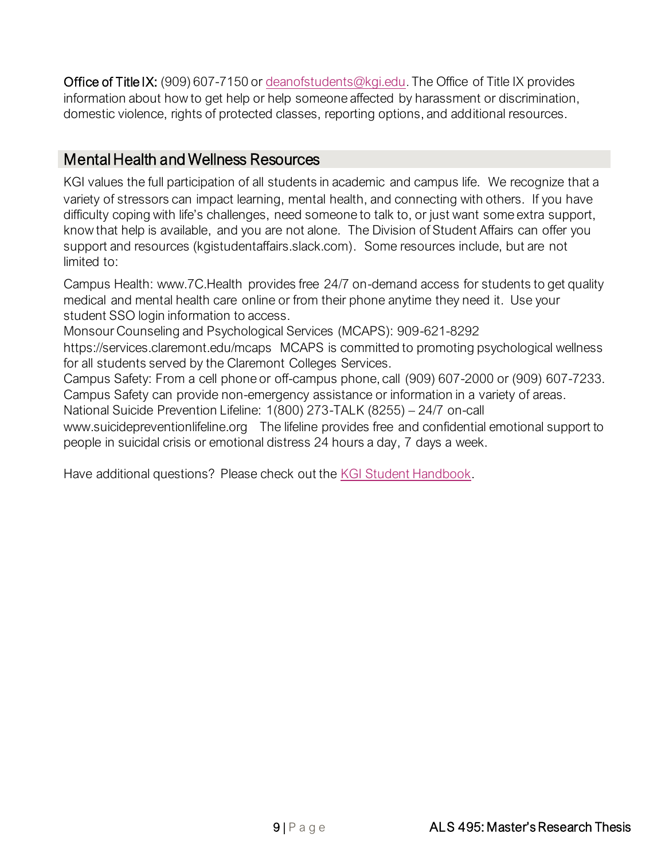Office of Title IX: (909) 607-7150 or [deanofstudents@kgi.edu.](mailto:deanofstudents@kgi.edu) The Office of Title IX provides information about how to get help or help someone affected by harassment or discrimination, domestic violence, rights of protected classes, reporting options, and additional resources.

### Mental Health and Wellness Resources

KGI values the full participation of all students in academic and campus life. We recognize that a variety of stressors can impact learning, mental health, and connecting with others. If you have difficulty coping with life's challenges, need someone to talk to, or just want some extra support, know that help is available, and you are not alone. The Division of Student Affairs can offer you support and resources (kgistudentaffairs.slack.com). Some resources include, but are not limited to:

Campus Health: www.7C.Health provides free 24/7 on-demand access for students to get quality medical and mental health care online or from their phone anytime they need it. Use your student SSO login information to access.

Monsour Counseling and Psychological Services (MCAPS): 909-621-8292

https://services.claremont.edu/mcaps MCAPS is committed to promoting psychological wellness for all students served by the Claremont Colleges Services.

Campus Safety: From a cell phone or off-campus phone, call (909) 607-2000 or (909) 607-7233. Campus Safety can provide non-emergency assistance or information in a variety of areas.

National Suicide Prevention Lifeline: 1(800) 273-TALK (8255) – 24/7 on-call

www.suicidepreventionlifeline.org The lifeline provides free and confidential emotional support to people in suicidal crisis or emotional distress 24 hours a day, 7 days a week.

Have additional questions? Please check out the [KGI Student Handbook.](https://www.kgi.edu/student-life/student-affairs/handbook/)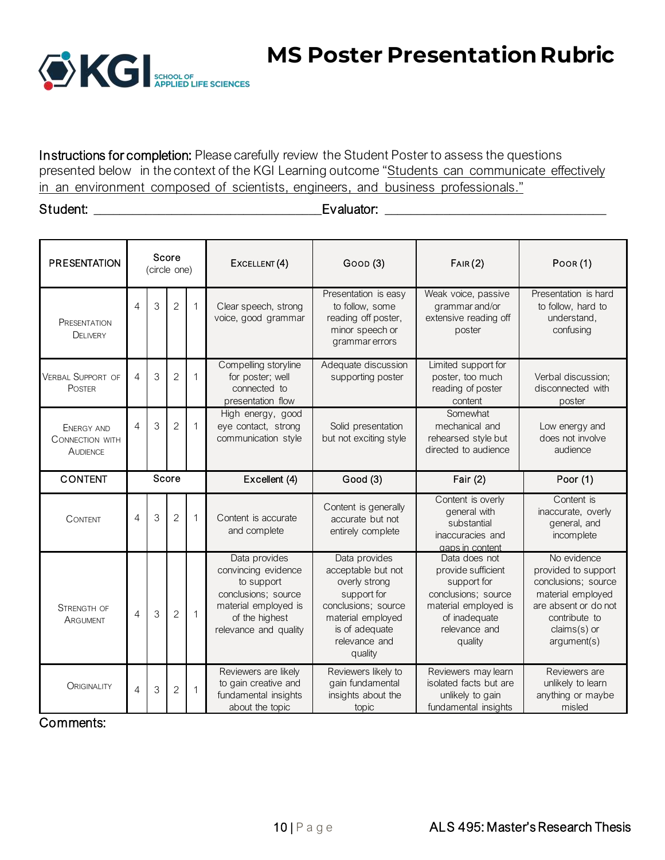

**MS Poster Presentation Rubric**

Instructions for completion: Please carefully review the Student Poster to assess the questions presented below in the context of the KGI Learning outcome "Students can communicate effectively in an environment composed of scientists, engineers, and business professionals."

#### Student: \_\_\_\_\_\_\_\_\_\_\_\_\_\_\_\_\_\_\_\_\_\_\_\_\_\_\_\_\_\_\_\_\_\_\_Evaluator: \_\_\_\_\_\_\_\_\_\_\_\_\_\_\_\_\_\_\_\_\_\_\_\_\_\_\_\_\_\_\_\_\_\_

| <b>PRESENTATION</b>                                            |                | (circle one) | Score          |              | EXCELLENT (4)<br>Goop (3)                                                                                                                    |                                                                                                                                                               | FAIR(2)                                                                                                                                        | Poor (1)                                                                                                                                               |  |
|----------------------------------------------------------------|----------------|--------------|----------------|--------------|----------------------------------------------------------------------------------------------------------------------------------------------|---------------------------------------------------------------------------------------------------------------------------------------------------------------|------------------------------------------------------------------------------------------------------------------------------------------------|--------------------------------------------------------------------------------------------------------------------------------------------------------|--|
| <b>PRESENTATION</b><br><b>DELIVERY</b>                         | $\overline{4}$ | 3            | $\overline{2}$ | 1            | Clear speech, strong<br>voice, good grammar                                                                                                  | Presentation is easy<br>to follow, some<br>reading off poster,<br>minor speech or<br>grammar errors                                                           | Weak voice, passive<br>grammar and/or<br>extensive reading off<br>poster                                                                       | Presentation is hard<br>to follow, hard to<br>understand,<br>confusing                                                                                 |  |
| <b>VERBAL SUPPORT OF</b><br><b>POSTER</b>                      | $\overline{4}$ | 3            | $\overline{2}$ | 1            | Compelling storyline<br>for poster; well<br>connected to<br>presentation flow                                                                | Adequate discussion<br>supporting poster                                                                                                                      | Limited support for<br>poster, too much<br>reading of poster<br>content                                                                        | Verbal discussion;<br>disconnected with<br>poster                                                                                                      |  |
| <b>ENERGY AND</b><br><b>CONNECTION WITH</b><br><b>AUDIENCE</b> | 4              | 3            | $\overline{2}$ | $\mathbf{1}$ | High energy, good<br>eye contact, strong<br>Solid presentation<br>communication style<br>but not exciting style                              |                                                                                                                                                               | Somewhat<br>mechanical and<br>rehearsed style but<br>directed to audience                                                                      | Low energy and<br>does not involve<br>audience                                                                                                         |  |
| <b>CONTENT</b>                                                 |                |              | Score          |              | Excellent (4)                                                                                                                                | Good (3)                                                                                                                                                      | Fair $(2)$                                                                                                                                     | Poor (1)                                                                                                                                               |  |
| <b>CONTENT</b>                                                 | 4              | 3            | $\overline{2}$ | $\mathbf{1}$ | Content is accurate<br>and complete                                                                                                          | Content is generally<br>accurate but not<br>entirely complete                                                                                                 | Content is overly<br>general with<br>substantial<br>inaccuracies and<br>gaps in content                                                        | Content is<br>inaccurate, overly<br>general, and<br>incomplete                                                                                         |  |
| <b>STRENGTH OF</b><br>ARGUMENT                                 | $\overline{4}$ | 3            | $\overline{2}$ | $\mathbf{1}$ | Data provides<br>convincing evidence<br>to support<br>conclusions; source<br>material employed is<br>of the highest<br>relevance and quality | Data provides<br>acceptable but not<br>overly strong<br>support for<br>conclusions; source<br>material employed<br>is of adequate<br>relevance and<br>quality | Data does not<br>provide sufficient<br>support for<br>conclusions; source<br>material employed is<br>of inadequate<br>relevance and<br>quality | No evidence<br>provided to support<br>conclusions; source<br>material employed<br>are absent or do not<br>contribute to<br>claims(s) or<br>argument(s) |  |
| <b>ORIGINALITY</b>                                             | $\overline{4}$ | 3            | $\overline{c}$ | 1            | Reviewers are likely<br>to gain creative and<br>fundamental insights<br>about the topic                                                      | Reviewers likely to<br>gain fundamental<br>insights about the<br>topic                                                                                        | Reviewers may learn<br>isolated facts but are<br>unlikely to gain<br>fundamental insights                                                      | Reviewers are<br>unlikely to learn<br>anything or maybe<br>misled                                                                                      |  |

Comments: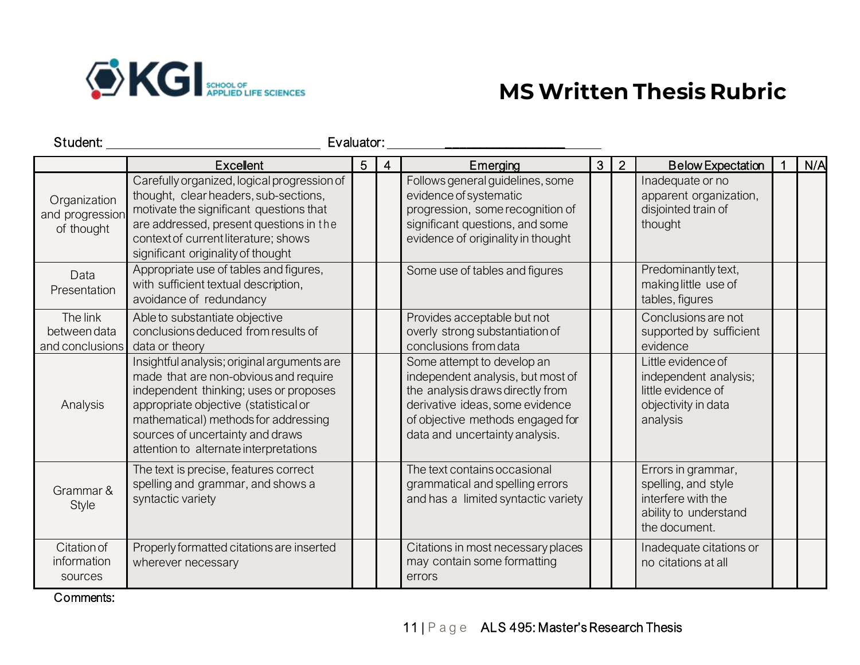

# **MS Written Thesis Rubric**

| Student:                                      | Evaluator:                                                                                                                                                                                                                                                                                    |   |   |                                                                                                                                                                                                              |   |                |                                                                                                           |     |
|-----------------------------------------------|-----------------------------------------------------------------------------------------------------------------------------------------------------------------------------------------------------------------------------------------------------------------------------------------------|---|---|--------------------------------------------------------------------------------------------------------------------------------------------------------------------------------------------------------------|---|----------------|-----------------------------------------------------------------------------------------------------------|-----|
|                                               | <b>Excellent</b>                                                                                                                                                                                                                                                                              | 5 | 4 | Emerging                                                                                                                                                                                                     | 3 | $\overline{2}$ | <b>Below Expectation</b>                                                                                  | N/A |
| Organization<br>and progression<br>of thought | Carefully organized, logical progression of<br>thought, clear headers, sub-sections,<br>motivate the significant questions that<br>are addressed, present questions in the<br>context of current literature; shows<br>significant originality of thought                                      |   |   | Follows general guidelines, some<br>evidence of systematic<br>progression, some recognition of<br>significant questions, and some<br>evidence of originality in thought                                      |   |                | Inadequate or no<br>apparent organization,<br>disjointed train of<br>thought                              |     |
| Data<br>Presentation                          | Appropriate use of tables and figures,<br>with sufficient textual description,<br>avoidance of redundancy                                                                                                                                                                                     |   |   | Some use of tables and figures                                                                                                                                                                               |   |                | Predominantly text,<br>making little use of<br>tables, figures                                            |     |
| The link<br>betweendata<br>and conclusions    | Able to substantiate objective<br>conclusions deduced from results of<br>data or theory                                                                                                                                                                                                       |   |   | Provides acceptable but not<br>overly strong substantiation of<br>conclusions from data                                                                                                                      |   |                | Conclusions are not<br>supported by sufficient<br>evidence                                                |     |
| Analysis                                      | Insightful analysis; original arguments are<br>made that are non-obvious and require<br>independent thinking; uses or proposes<br>appropriate objective (statistical or<br>mathematical) methods for addressing<br>sources of uncertainty and draws<br>attention to alternate interpretations |   |   | Some attempt to develop an<br>independent analysis, but most of<br>the analysis draws directly from<br>derivative ideas, some evidence<br>of objective methods engaged for<br>data and uncertainty analysis. |   |                | Little evidence of<br>independent analysis;<br>little evidence of<br>objectivity in data<br>analysis      |     |
| Grammar &<br><b>Style</b>                     | The text is precise, features correct<br>spelling and grammar, and shows a<br>syntactic variety                                                                                                                                                                                               |   |   | The text contains occasional<br>grammatical and spelling errors<br>and has a limited syntactic variety                                                                                                       |   |                | Errors in grammar,<br>spelling, and style<br>interfere with the<br>ability to understand<br>the document. |     |
| Citation of<br>information<br>sources         | Properly formatted citations are inserted<br>wherever necessary                                                                                                                                                                                                                               |   |   | Citations in most necessary places<br>may contain some formatting<br>errors                                                                                                                                  |   |                | Inadequate citations or<br>no citations at all                                                            |     |

Comments: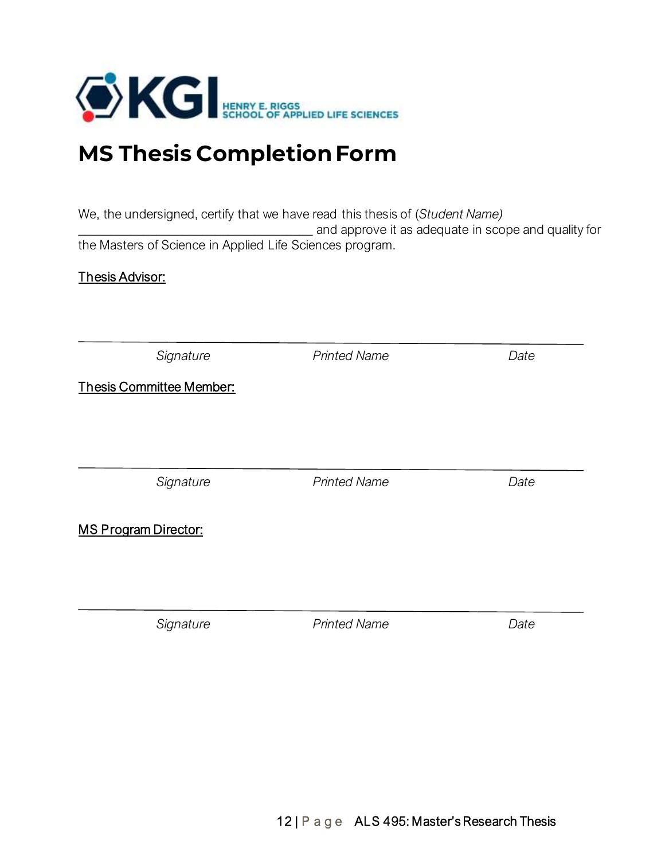

# **MS Thesis Completion Form**

We, the undersigned, certify that we have read this thesis of (*Student Name)* \_\_\_\_\_\_\_\_\_\_\_\_\_\_\_\_\_\_\_\_\_\_\_\_\_\_\_\_\_\_\_\_\_\_\_\_ and approve it as adequate in scope and quality for

the Masters of Science in Applied Life Sciences program.

### Thesis Advisor:

| Signature                       | <b>Printed Name</b> | Date |
|---------------------------------|---------------------|------|
| <b>Thesis Committee Member:</b> |                     |      |
|                                 |                     |      |
|                                 |                     |      |
| Signature                       | <b>Printed Name</b> | Date |
|                                 |                     |      |
| <b>MS Program Director:</b>     |                     |      |
|                                 |                     |      |
|                                 |                     |      |
|                                 |                     |      |

*Signature Printed Name Date*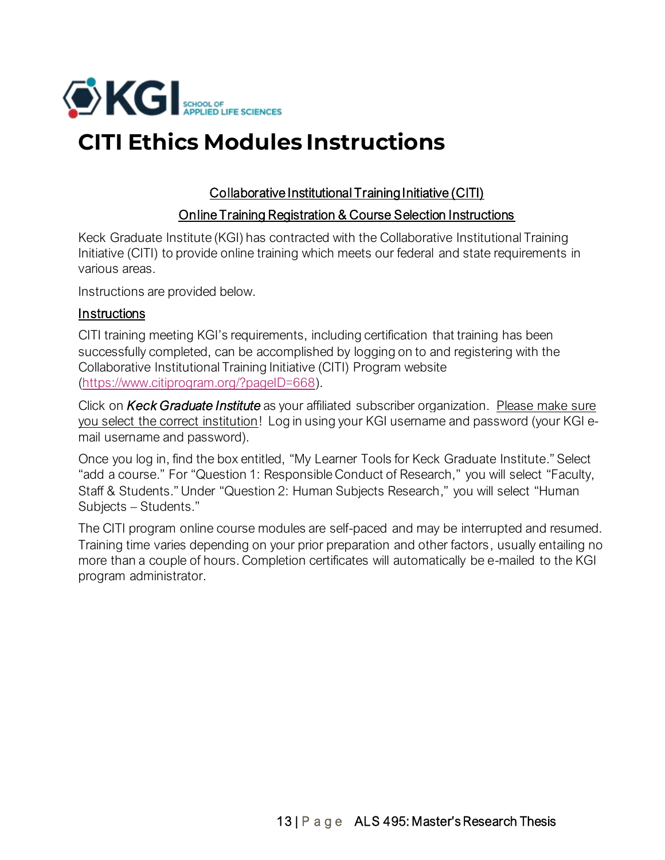

# **CITI Ethics Modules Instructions**

### Collaborative Institutional Training Initiative (CITI)

### Online Training Registration & Course Selection Instructions

Keck Graduate Institute (KGI) has contracted with the Collaborative Institutional Training Initiative (CITI) to provide online training which meets our federal and state requirements in various areas.

Instructions are provided below.

### **Instructions**

CITI training meeting KGI's requirements, including certification that training has been successfully completed, can be accomplished by logging on to and registering with the Collaborative Institutional Training Initiative (CITI) Program website [\(https://www.citiprogram.org/?pageID=668\)](https://www.citiprogram.org/?pageID=668).

Click on *Keck Graduate Institute* as your affiliated subscriber organization. Please make sure you select the correct institution! Log in using your KGI username and password (your KGI email username and password).

Once you log in, find the box entitled, "My Learner Tools for Keck Graduate Institute." Select "add a course." For "Question 1: Responsible Conduct of Research," you will select "Faculty, Staff & Students."Under "Question 2: Human Subjects Research," you will select "Human Subjects – Students."

The CITI program online course modules are self-paced and may be interrupted and resumed. Training time varies depending on your prior preparation and other factors, usually entailing no more than a couple of hours. Completion certificates will automatically be e-mailed to the KGI program administrator.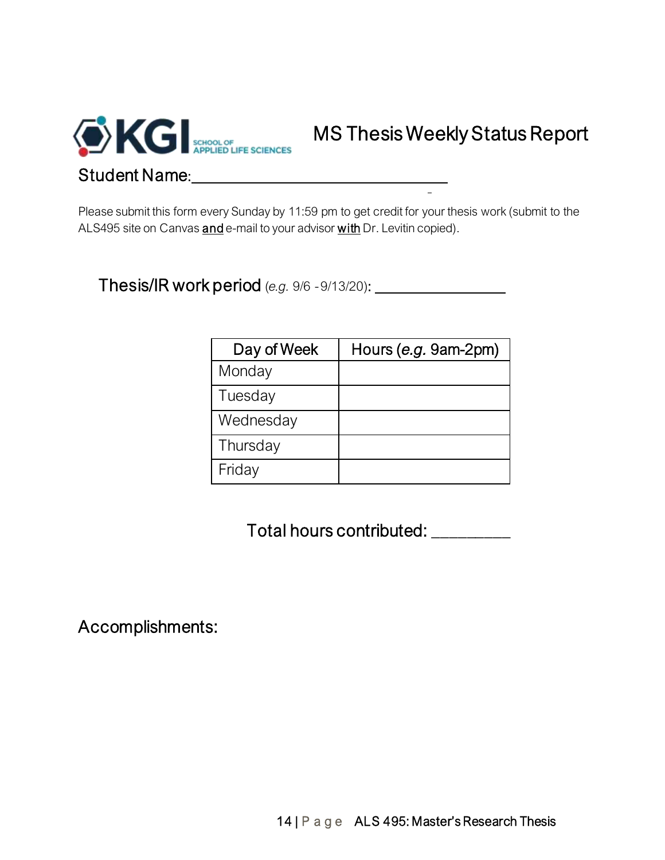

Please submit this form every Sunday by 11:59 pm to get credit for your thesis work (submit to the ALS495 site on Canvas and e-mail to your advisor with Dr. Levitin copied).

Thesis/IR work period (*e.g.* 9/6 -9/13/20):

| Day of Week | Hours (e.g. 9am-2pm) |
|-------------|----------------------|
| Monday      |                      |
| Tuesday     |                      |
| Wednesday   |                      |
| Thursday    |                      |
| Friday      |                      |

Total hours contributed: \_\_\_\_\_\_\_\_\_

Accomplishments: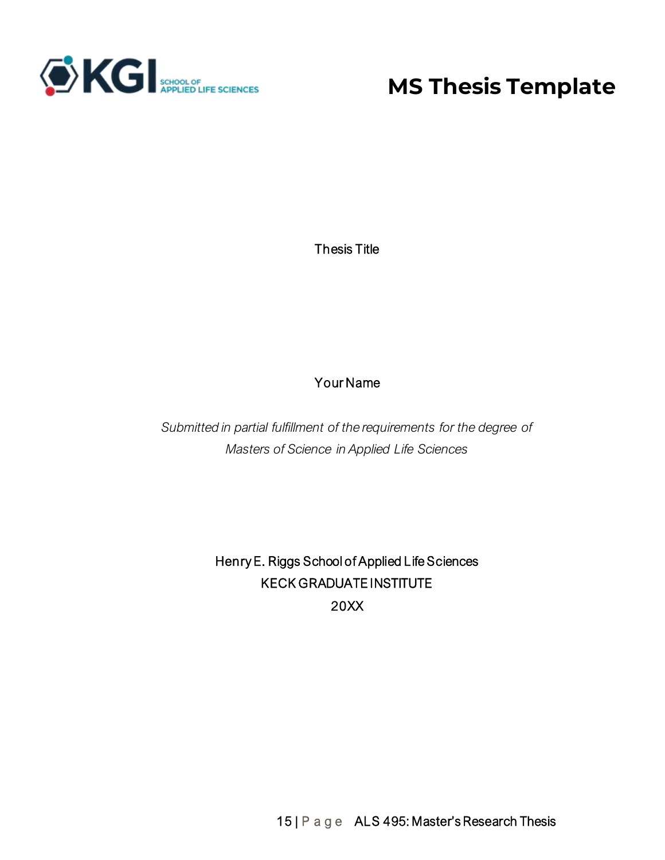

# **MS Thesis Template**

Thesis Title

# Your Name

*Submitted in partial fulfillment of the requirements for the degree of Masters of Science in Applied Life Sciences*

> Henry E. Riggs School of Applied Life Sciences KECK GRADUATE INSTITUTE 20XX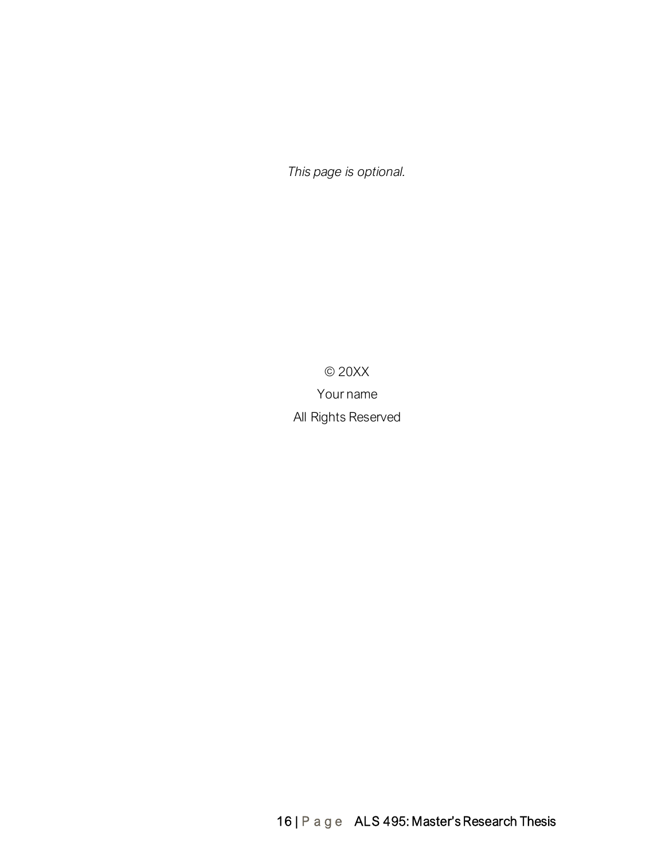*This page is optional.*

© 20XX Your name All Rights Reserved

16 | P a g e ALS 495: Master's Research Thesis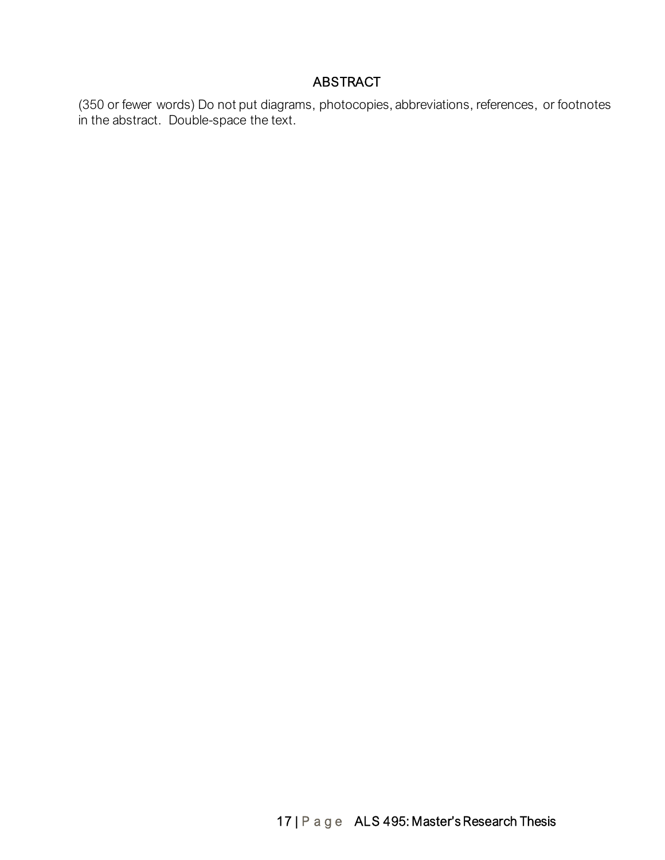### ABSTRACT

(350 or fewer words) Do not put diagrams, photocopies, abbreviations, references, or footnotes in the abstract. Double-space the text.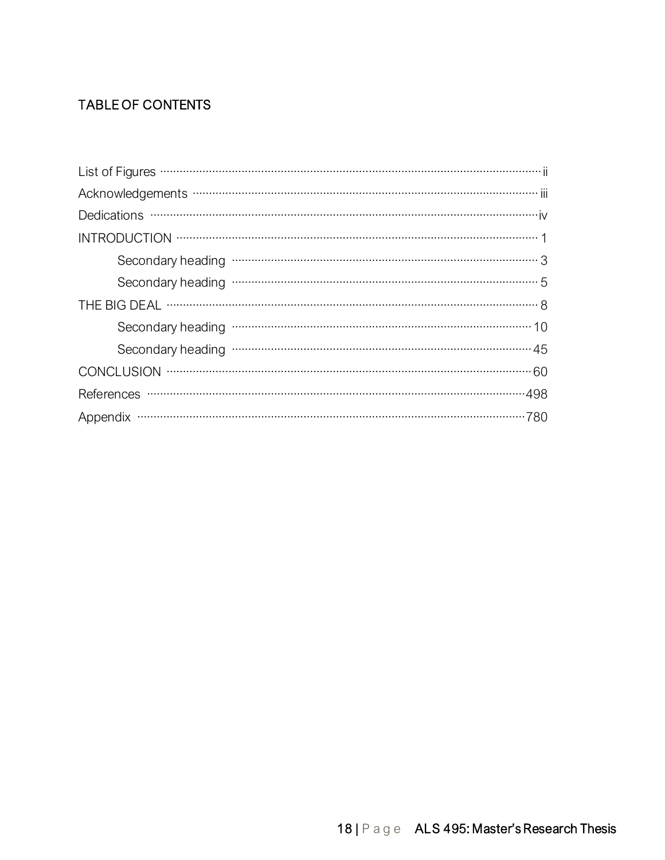# TABLE OF CONTENTS

| Acknowledgements ………………………………………………………………………………………… iii |
|---------------------------------------------------------|
|                                                         |
|                                                         |
| Secondary heading www.www.www.www.www.www.www.www.www.a |
|                                                         |
|                                                         |
|                                                         |
|                                                         |
|                                                         |
|                                                         |
|                                                         |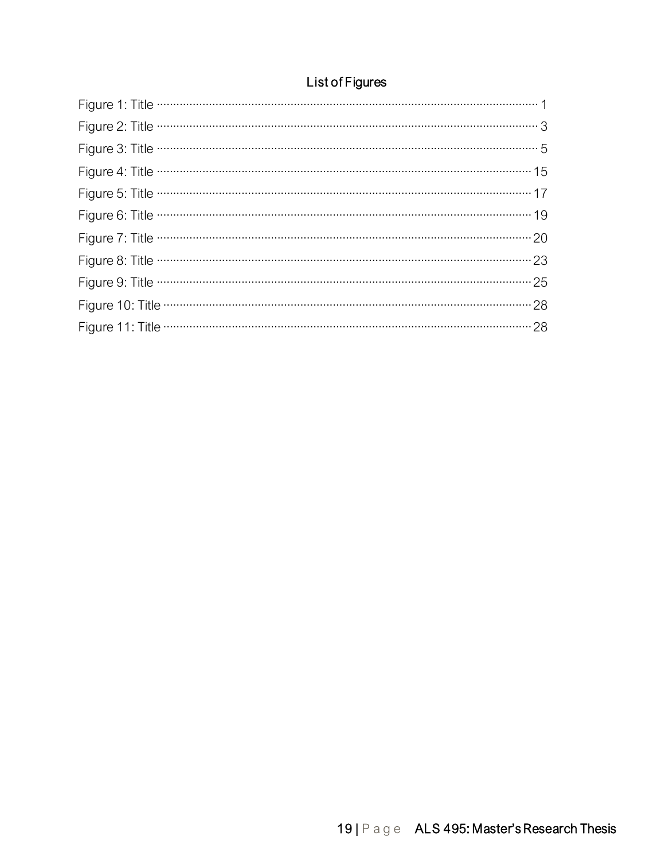# List of Figures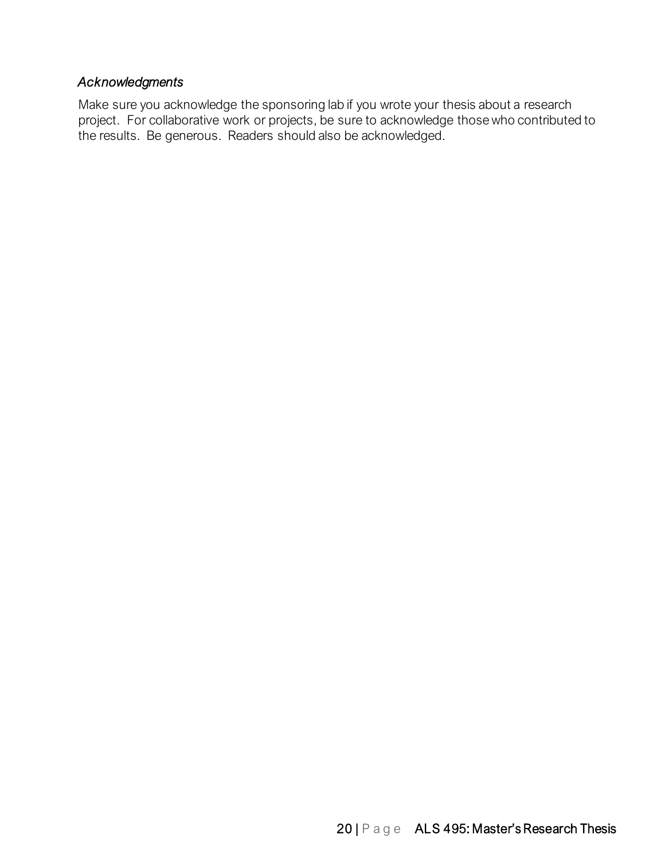### *Acknowledgments*

Make sure you acknowledge the sponsoring lab if you wrote your thesis about a research project. For collaborative work or projects, be sure to acknowledge those who contributed to the results. Be generous. Readers should also be acknowledged.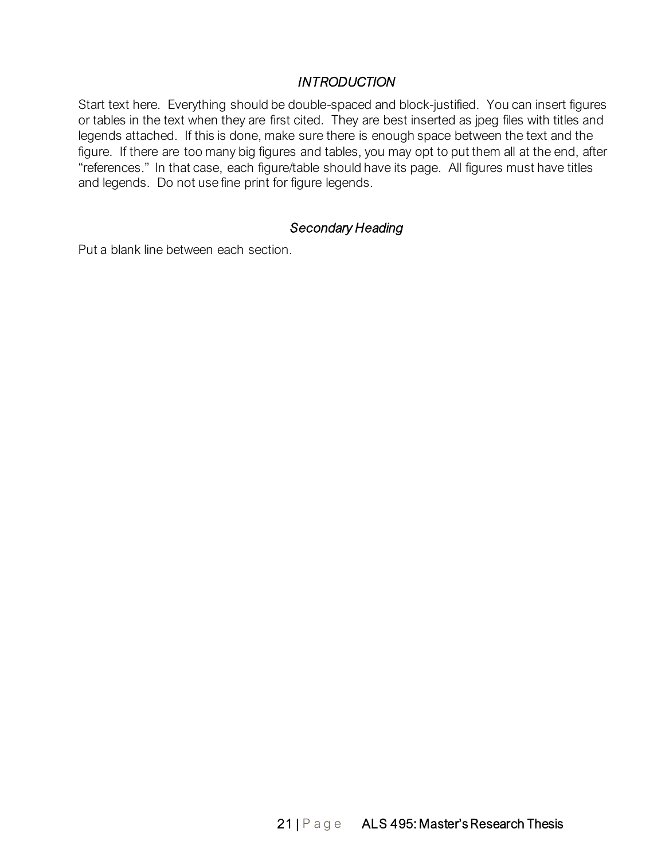#### *INTRODUCTION*

Start text here. Everything should be double-spaced and block-justified. You can insert figures or tables in the text when they are first cited. They are best inserted as jpeg files with titles and legends attached. If this is done, make sure there is enough space between the text and the figure. If there are too many big figures and tables, you may opt to put them all at the end, after "references." In that case, each figure/table should have its page. All figures must have titles and legends. Do not use fine print for figure legends.

#### *Secondary Heading*

Put a blank line between each section.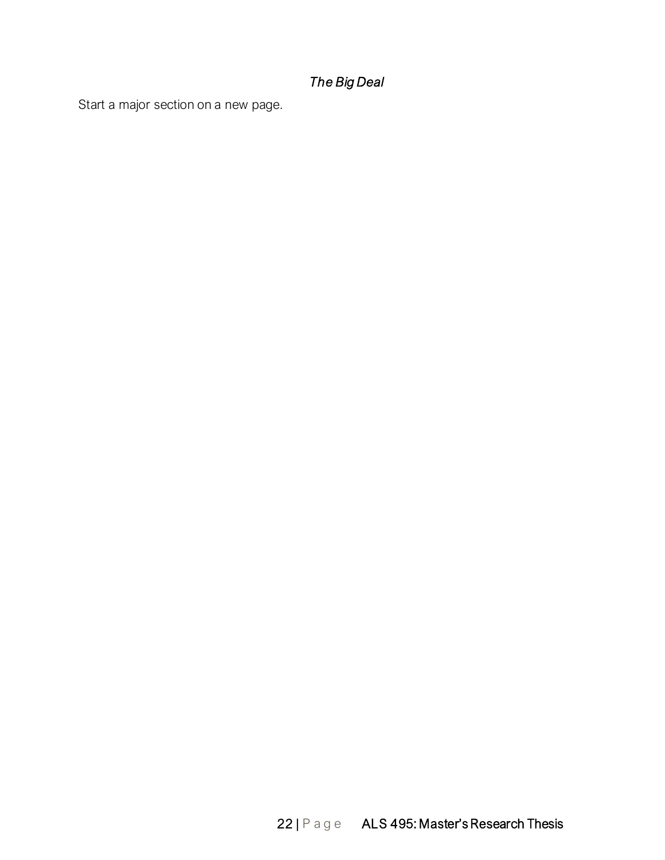# *The Big Deal*

Start a major section on a new page.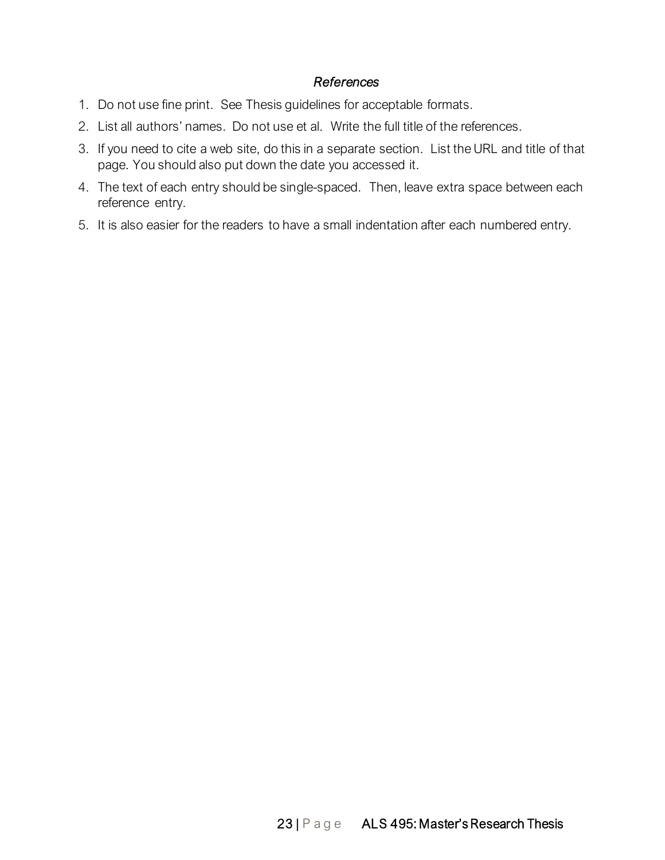#### *References*

- 1. Do not use fine print. See Thesis guidelines for acceptable formats.
- 2. List all authors' names. Do not use et al. Write the full title of the references.
- 3. If you need to cite a web site, do this in a separate section. List the URL and title of that page. You should also put down the date you accessed it.
- 4. The text of each entry should be single-spaced. Then, leave extra space between each reference entry.
- 5. It is also easier for the readers to have a small indentation after each numbered entry.